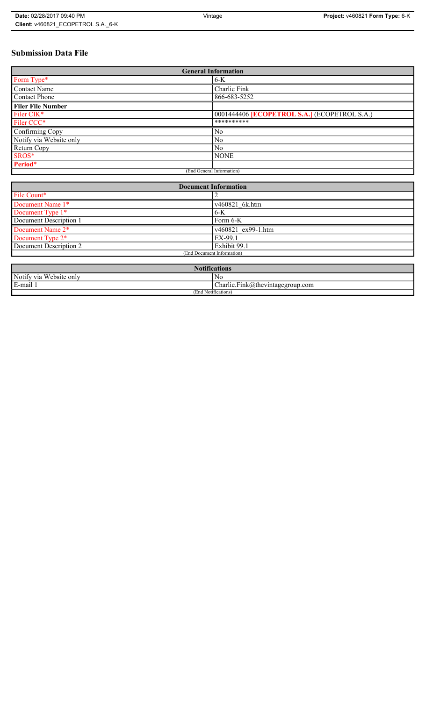# **Submission Data File**

| <b>General Information</b> |                                                   |
|----------------------------|---------------------------------------------------|
| Form Type*                 | $6-K$                                             |
| <b>Contact Name</b>        | Charlie Fink                                      |
| <b>Contact Phone</b>       | 866-683-5252                                      |
| <b>Filer File Number</b>   |                                                   |
| Filer CIK*                 | 0001444406 <b>ECOPETROL S.A.</b> (ECOPETROL S.A.) |
| Filer CCC*                 | **********                                        |
| Confirming Copy            | N <sub>0</sub>                                    |
| Notify via Website only    | N <sub>0</sub>                                    |
| Return Copy                | N <sub>0</sub>                                    |
| SROS*                      | <b>NONE</b>                                       |
| Period*                    |                                                   |
| (End General Information)  |                                                   |

| <b>Document Information</b> |                    |
|-----------------------------|--------------------|
| File Count*                 |                    |
| Document Name 1*            | v460821 6k.htm     |
| Document Type 1*            | $6-K$              |
| Document Description 1      | Form 6-K           |
| Document Name 2*            | v460821 ex99-1.htm |
| Document Type 2*            | EX-99.1            |
| Document Description 2      | Exhibit 99.1       |
| (End Document Information)  |                    |
|                             |                    |

| <b>Notifications</b>    |                                  |
|-------------------------|----------------------------------|
| Notify via Website only | No                               |
| E-mail                  | Charlie.Fink@thevintagegroup.com |
| (End Notifications)     |                                  |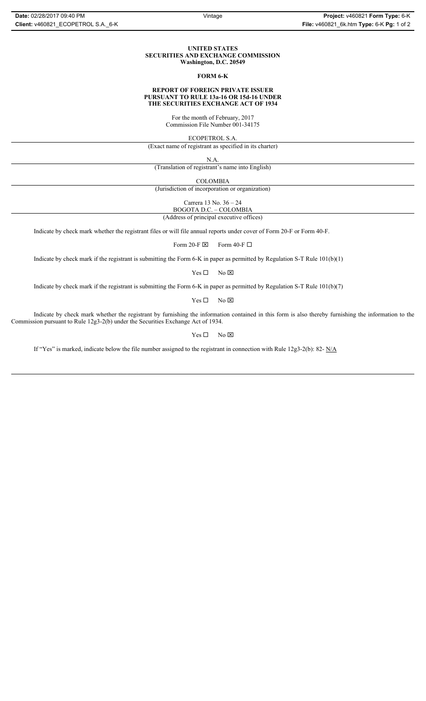#### **UNITED STATES SECURITIES AND EXCHANGE COMMISSION Washington, D.C. 20549**

### **FORM 6-K**

#### **REPORT OF FOREIGN PRIVATE ISSUER PURSUANT TO RULE 13a-16 OR 15d-16 UNDER THE SECURITIES EXCHANGE ACT OF 1934**

For the month of February, 2017 Commission File Number 001-34175

ECOPETROL S.A.

(Exact name of registrant as specified in its charter)

N.A.

(Translation of registrant's name into English)

COLOMBIA

(Jurisdiction of incorporation or organization)

Carrera 13 No. 36 – 24

BOGOTA D.C. – COLOMBIA

(Address of principal executive offices)

Indicate by check mark whether the registrant files or will file annual reports under cover of Form 20-F or Form 40-F.

Form 20-F  $\boxtimes$  Form 40-F  $\Box$ 

Indicate by check mark if the registrant is submitting the Form 6-K in paper as permitted by Regulation S-T Rule 101(b)(1)

 $Yes \Box$  No  $\boxtimes$ 

Indicate by check mark if the registrant is submitting the Form 6-K in paper as permitted by Regulation S-T Rule 101(b)(7)

 $Yes \Box$  No  $\boxtimes$ 

Indicate by check mark whether the registrant by furnishing the information contained in this form is also thereby furnishing the information to the Commission pursuant to Rule 12g3-2(b) under the Securities Exchange Act of 1934.

 $Yes \Box$  No  $\boxtimes$ 

If "Yes" is marked, indicate below the file number assigned to the registrant in connection with Rule 12g3-2(b): 82- N/A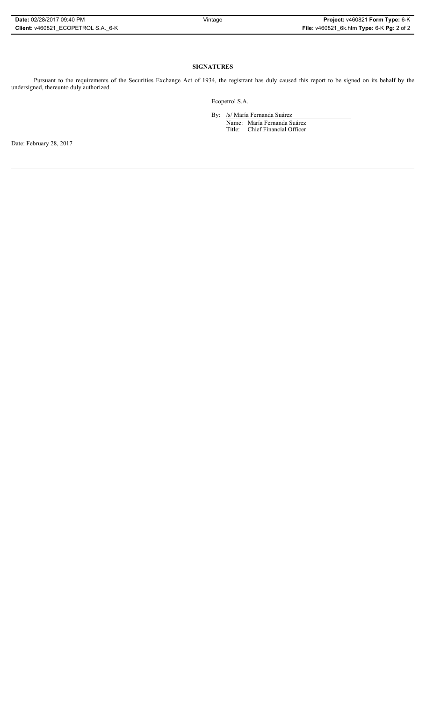# **SIGNATURES**

Pursuant to the requirements of the Securities Exchange Act of 1934, the registrant has duly caused this report to be signed on its behalf by the undersigned, thereunto duly authorized.

Ecopetrol S.A.

By: /s/ María Fernanda Suárez Name: María Fernanda Suárez Title: Chief Financial Officer

Date: February 28, 2017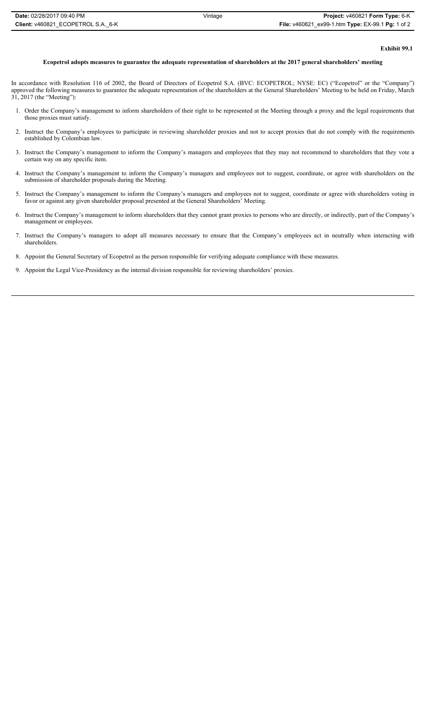# **Exhibit 99.1**

### **Ecopetrol adopts measures to guarantee the adequate representation of shareholders at the 2017 general shareholders' meeting**

In accordance with Resolution 116 of 2002, the Board of Directors of Ecopetrol S.A. (BVC: ECOPETROL; NYSE: EC) ("Ecopetrol" or the "Company") approved the following measures to guarantee the adequate representation of the shareholders at the General Shareholders' Meeting to be held on Friday, March 31, 2017 (the "Meeting"):

- 1. Order the Company's management to inform shareholders of their right to be represented at the Meeting through a proxy and the legal requirements that those proxies must satisfy.
- 2. Instruct the Company's employees to participate in reviewing shareholder proxies and not to accept proxies that do not comply with the requirements established by Colombian law.
- 3. Instruct the Company's management to inform the Company's managers and employees that they may not recommend to shareholders that they vote a certain way on any specific item.
- 4. Instruct the Company's management to inform the Company's managers and employees not to suggest, coordinate, or agree with shareholders on the submission of shareholder proposals during the Meeting.
- 5. Instruct the Company's management to inform the Company's managers and employees not to suggest, coordinate or agree with shareholders voting in favor or against any given shareholder proposal presented at the General Shareholders' Meeting.
- 6. Instruct the Company's management to inform shareholders that they cannot grant proxies to persons who are directly, or indirectly, part of the Company's management or employees.
- 7. Instruct the Company's managers to adopt all measures necessary to ensure that the Company's employees act in neutrally when interacting with shareholders.

# 8. Appoint the General Secretary of Ecopetrol as the person responsible for verifying adequate compliance with these measures.

9. Appoint the Legal Vice-Presidency as the internal division responsible for reviewing shareholders' proxies.